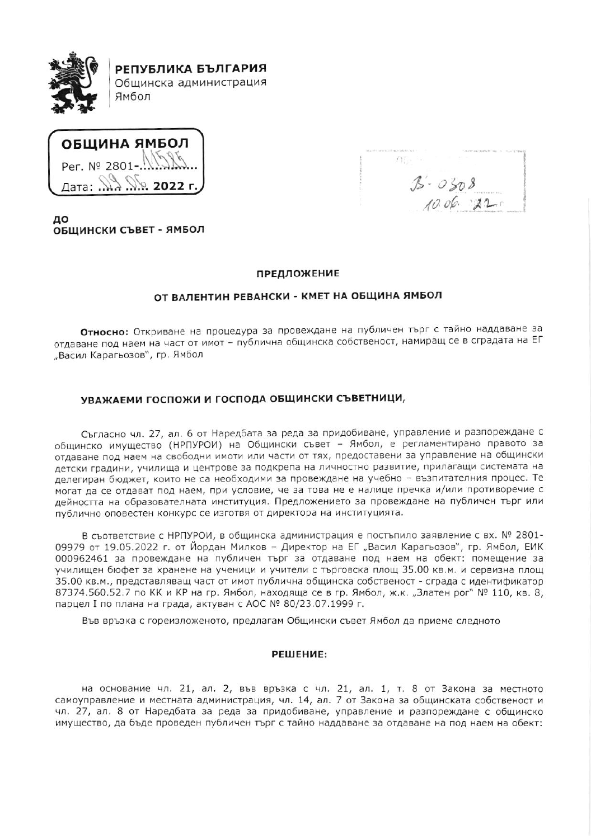

ОБШИНА ЯМБОЛ Per. Nº 2801 Лата: ..  $2022r$ 

 $\Omega_{\rm H}$  $3 - 0308$  $10.06.22$ 

до ОБЩИНСКИ СЪВЕТ - ЯМБОЛ

## ПРЕДЛОЖЕНИЕ

## ОТ ВАЛЕНТИН РЕВАНСКИ - КМЕТ НА ОБЩИНА ЯМБОЛ

Относно: Откриване на процедура за провеждане на публичен търг с тайно наддаване за отдаване под наем на част от имот - публична общинска собственост, намиращ се в сградата на ЕГ "Васил Карагьозов", гр. Ямбол

# УВАЖАЕМИ ГОСПОЖИ И ГОСПОДА ОБЩИНСКИ СЪВЕТНИЦИ,

Съгласно чл. 27, ал. 6 от Наредбата за реда за придобиване, управление и разпореждане с общинско имущество (НРПУРОИ) на Общински съвет - Ямбол, е регламентирано правото за отдаване под наем на свободни имоти или части от тях, предоставени за управление на общински детски градини, училища и центрове за подкрепа на личностно развитие, прилагащи системата на делегиран бюджет, които не са необходими за провеждане на учебно - възпитателния процес. Те могат да се отдават под наем, при условие, че за това не е налице пречка и/или противоречие с дейността на образователната институция. Предложението за провеждане на публичен търг или публично оповестен конкурс се изготвя от директора на институцията.

В съответствие с НРПУРОИ, в общинска администрация е постъпило заявление с вх. № 2801-09979 от 19.05.2022 г. от Йордан Милков - Директор на ЕГ "Васил Карагьозов", гр. Ямбол, ЕИК 000962461 за провеждане на публичен търг за отдаване под наем на обект: помещение за училищен бюфет за хранене на ученици и учители с търговска площ 35.00 кв.м. и сервизна площ 35.00 кв.м., представляващ част от имот публична общинска собственост - сграда с идентификатор 87374.560.52.7 по КК и КР на гр. Ямбол, находяща се в гр. Ямбол, ж.к. "Златен рог" № 110, кв. 8, парцел I по плана на града, актуван с АОС № 80/23.07.1999 г.

Във връзка с гореизложеното, предлагам Общински съвет Ямбол да приеме следното

### РЕШЕНИЕ:

на основание чл. 21, ал. 2, във връзка с чл. 21, ал. 1, т. 8 от Закона за местното самоуправление и местната администрация, чл. 14, ал. 7 от Закона за общинската собственост и чл. 27, ал. 8 от Наредбата за реда за придобиване, управление и разпореждане с общинско имущество, да бъде проведен публичен търг с тайно наддаване за отдаване на под наем на обект;